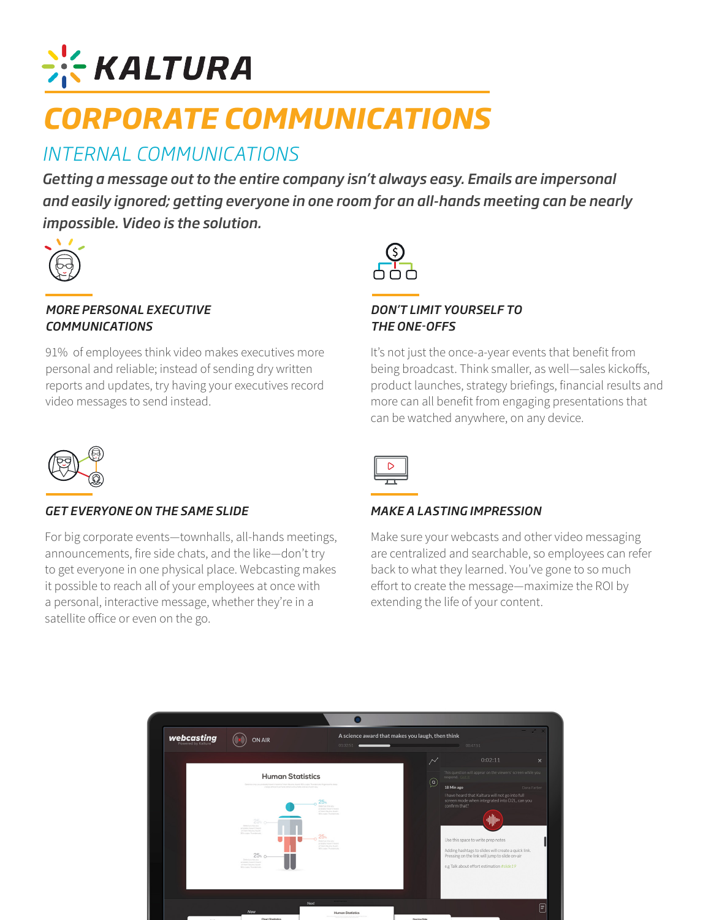# **EXALTURA**

# *CORPORATE COMMUNICATIONS*

## *INTERNAL COMMUNICATIONS*

*Getting a message out to the entire company isn't always easy. Emails are impersonal and easily ignored; getting everyone in one room for an all-hands meeting can be nearly impossible. Video is the solution.*



#### *MORE PERSONAL EXECUTIVE COMMUNICATIONS*

91% of employees think video makes executives more personal and reliable; instead of sending dry written reports and updates, try having your executives record video messages to send instead.



#### *DON'T LIMIT YOURSELF TO THE ONE-OFFS*

It's not just the once-a-year events that benefit from being broadcast. Think smaller, as well—sales kickoffs, product launches, strategy briefings, financial results and more can all benefit from engaging presentations that can be watched anywhere, on any device.



#### *GET EVERYONE ON THE SAME SLIDE*

For big corporate events—townhalls, all-hands meetings, announcements, fire side chats, and the like—don't try to get everyone in one physical place. Webcasting makes it possible to reach all of your employees at once with a personal, interactive message, whether they're in a satellite office or even on the go.



#### *MAKE A LASTING IMPRESSION*

Make sure your webcasts and other video messaging are centralized and searchable, so employees can refer back to what they learned. You've gone to so much effort to create the message—maximize the ROI by extending the life of your content.